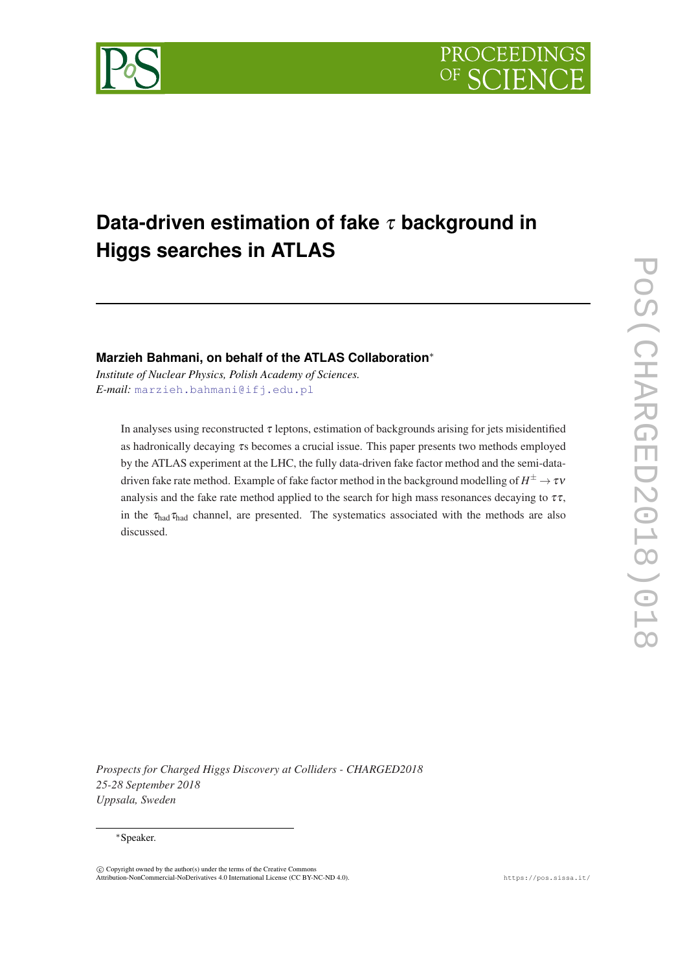



# **Data-driven estimation of fake** τ **background in Higgs searches in ATLAS**

# **Marzieh Bahmani, on behalf of the ATLAS Collaboration**<sup>∗</sup>

*Institute of Nuclear Physics, Polish Academy of Sciences. E-mail:* [marzieh.bahmani@ifj.edu.pl](mailto:marzieh.bahmani@ifj.edu.pl)

In analyses using reconstructed  $\tau$  leptons, estimation of backgrounds arising for jets misidentified as hadronically decaying τs becomes a crucial issue. This paper presents two methods employed by the ATLAS experiment at the LHC, the fully data-driven fake factor method and the semi-datadriven fake rate method. Example of fake factor method in the background modelling of  $H^\pm \! \rightarrow \! \tau \nu$ analysis and the fake rate method applied to the search for high mass resonances decaying to  $\tau\tau$ , in the  $\tau_{\text{had}}\tau_{\text{had}}$  channel, are presented. The systematics associated with the methods are also discussed.

*Prospects for Charged Higgs Discovery at Colliders - CHARGED2018 25-28 September 2018 Uppsala, Sweden*

## <sup>∗</sup>Speaker.

 $\overline{c}$  Copyright owned by the author(s) under the terms of the Creative Common Attribution-NonCommercial-NoDerivatives 4.0 International License (CC BY-NC-ND 4.0). https://pos.sissa.it/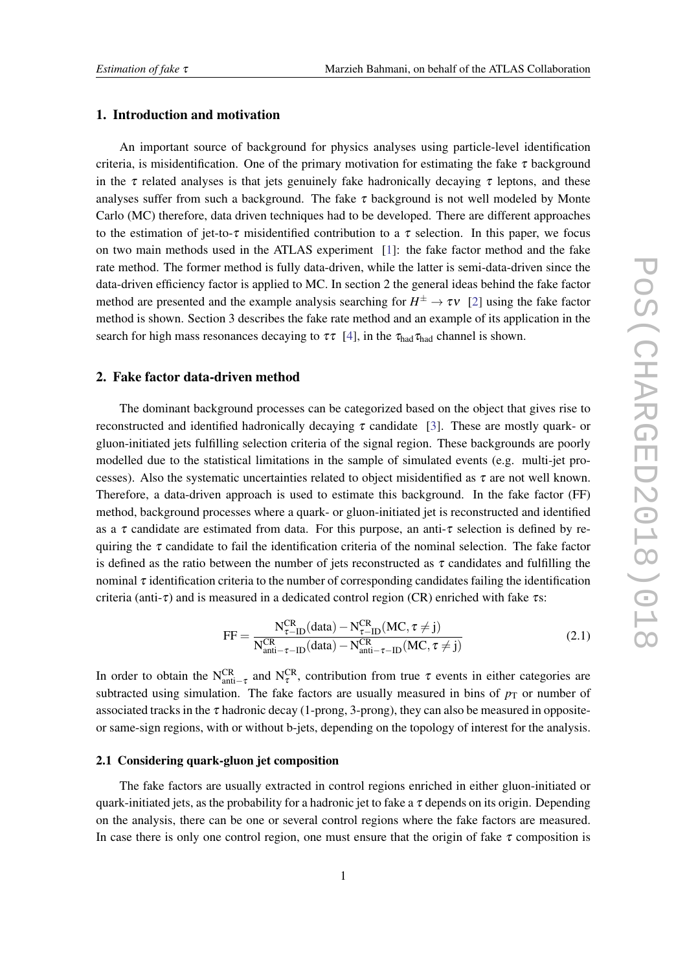# 1. Introduction and motivation

An important source of background for physics analyses using particle-level identification criteria, is misidentification. One of the primary motivation for estimating the fake  $\tau$  background in the  $\tau$  related analyses is that jets genuinely fake hadronically decaying  $\tau$  leptons, and these analyses suffer from such a background. The fake  $\tau$  background is not well modeled by Monte Carlo (MC) therefore, data driven techniques had to be developed. There are different approaches to the estimation of jet-to- $\tau$  misidentified contribution to a  $\tau$  selection. In this paper, we focus on two main methods used in the ATLAS experiment [[1](#page-5-0)]: the fake factor method and the fake rate method. The former method is fully data-driven, while the latter is semi-data-driven since the data-driven efficiency factor is applied to MC. In section 2 the general ideas behind the fake factor method are presented and the example analysis searching for  $H^{\pm} \to \tau v$  [\[2\]](#page-5-0) using the fake factor method is shown. Section 3 describes the fake rate method and an example of its application in the search for high mass resonances decaying to  $\tau\tau$  [\[4\]](#page-5-0), in the  $\tau_{\text{had}}\tau_{\text{had}}$  channel is shown.

# 2. Fake factor data-driven method

The dominant background processes can be categorized based on the object that gives rise to reconstructed and identified hadronically decaying  $\tau$  candidate [\[3](#page-5-0)]. These are mostly quark- or gluon-initiated jets fulfilling selection criteria of the signal region. These backgrounds are poorly modelled due to the statistical limitations in the sample of simulated events (e.g. multi-jet processes). Also the systematic uncertainties related to object misidentified as  $\tau$  are not well known. Therefore, a data-driven approach is used to estimate this background. In the fake factor (FF) method, background processes where a quark- or gluon-initiated jet is reconstructed and identified as a  $\tau$  candidate are estimated from data. For this purpose, an anti- $\tau$  selection is defined by requiring the  $\tau$  candidate to fail the identification criteria of the nominal selection. The fake factor is defined as the ratio between the number of jets reconstructed as  $\tau$  candidates and fulfilling the nominal  $\tau$  identification criteria to the number of corresponding candidates failing the identification criteria (anti-τ) and is measured in a dedicated control region (CR) enriched with fake  $\tau$ s:

$$
FF = \frac{N_{\tau-\text{ID}}^{\text{CR}}(data) - N_{\tau-\text{ID}}^{\text{CR}}(MC, \tau \neq j)}{N_{\text{anti}-\tau-\text{ID}}^{\text{CR}}(data) - N_{\text{anti}-\tau-\text{ID}}^{\text{CR}}(MC, \tau \neq j)}
$$
(2.1)

In order to obtain the N<sup>CR</sup><sub>anti-τ</sub> and N<sup>CR</sup>, contribution from true  $\tau$  events in either categories are subtracted using simulation. The fake factors are usually measured in bins of  $p<sub>T</sub>$  or number of associated tracks in the  $\tau$  hadronic decay (1-prong, 3-prong), they can also be measured in oppositeor same-sign regions, with or without b-jets, depending on the topology of interest for the analysis.

#### 2.1 Considering quark-gluon jet composition

The fake factors are usually extracted in control regions enriched in either gluon-initiated or quark-initiated jets, as the probability for a hadronic jet to fake a  $\tau$  depends on its origin. Depending on the analysis, there can be one or several control regions where the fake factors are measured. In case there is only one control region, one must ensure that the origin of fake  $\tau$  composition is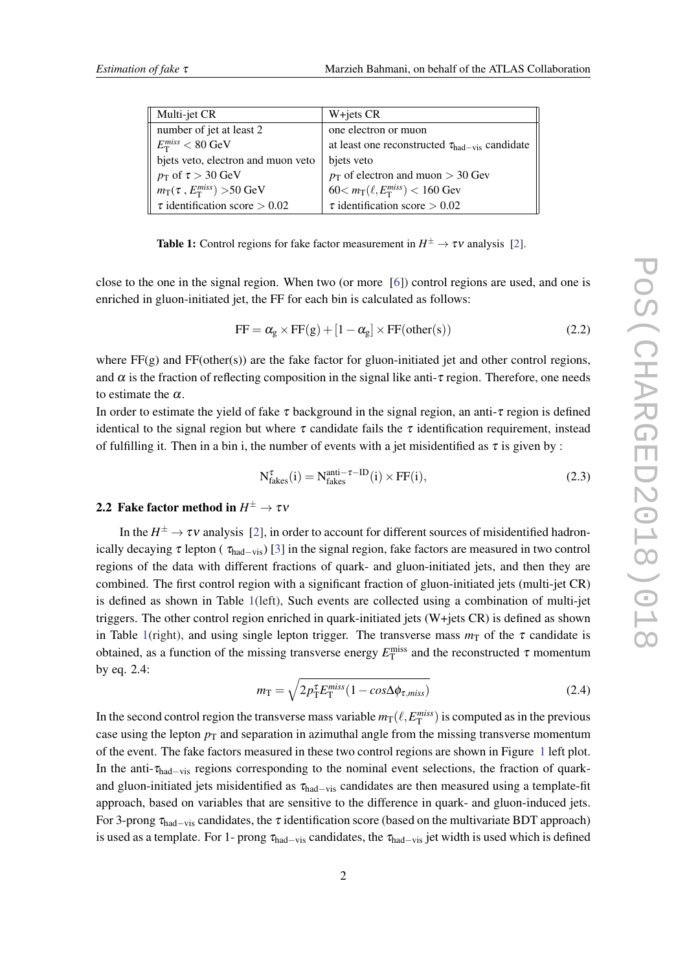| Multi-jet CR                         | W+jets CR                                                           |
|--------------------------------------|---------------------------------------------------------------------|
| number of jet at least 2             | one electron or muon                                                |
| $E_{\rm T}^{miss} < 80~{\rm GeV}$    | at least one reconstructed $\tau_{\text{had}-\text{vis}}$ candidate |
| bjets veto, electron and muon veto   | bjets veto                                                          |
| $p_T$ of $\tau > 30$ GeV             | $p_T$ of electron and muon > 30 Gev                                 |
| $m_T(\tau, E_T^{miss}) > 50$ GeV     | $60 < m_T(\ell, E_T^{miss}) < 160$ Gev                              |
| $\tau$ identification score $> 0.02$ | $\tau$ identification score $> 0.02$                                |

**Table 1:** Control regions for fake factor measurement in  $H^{\pm} \to \tau \nu$  analysis [\[2](#page-5-0)].

close to the one in the signal region. When two (or more [\[6\]](#page-5-0)) control regions are used, and one is enriched in gluon-initiated jet, the FF for each bin is calculated as follows:

$$
FF = \alpha_{g} \times FF(g) + [1 - \alpha_{g}] \times FF(\text{other}(s))
$$
\n(2.2)

where  $FF(g)$  and  $FF(other(s))$  are the fake factor for gluon-initiated jet and other control regions, and  $\alpha$  is the fraction of reflecting composition in the signal like anti- $\tau$  region. Therefore, one needs to estimate the  $\alpha$ .

In order to estimate the yield of fake  $\tau$  background in the signal region, an anti- $\tau$  region is defined identical to the signal region but where  $\tau$  candidate fails the  $\tau$  identification requirement, instead of fulfilling it. Then in a bin i, the number of events with a jet misidentified as  $\tau$  is given by :

$$
N_{\text{fakes}}^{\tau}(i) = N_{\text{fakes}}^{\text{anti}-\tau-\text{ID}}(i) \times \text{FF}(i),\tag{2.3}
$$

# 2.2 Fake factor method in  $H^\pm \to \tau \nu$

In the  $H^{\pm} \to \tau \nu$  analysis [[2](#page-5-0)], in order to account for different sources of misidentified hadronically decaying  $\tau$  lepton ( $\tau_{\text{had}-\text{vis}}$ ) [\[3\]](#page-5-0) in the signal region, fake factors are measured in two control regions of the data with different fractions of quark- and gluon-initiated jets, and then they are combined. The first control region with a significant fraction of gluon-initiated jets (multi-jet CR) is defined as shown in Table 1(left), Such events are collected using a combination of multi-jet triggers. The other control region enriched in quark-initiated jets (W+jets CR) is defined as shown in Table 1(right), and using single lepton trigger. The transverse mass  $m<sub>T</sub>$  of the  $\tau$  candidate is obtained, as a function of the missing transverse energy  $E_T^{\text{miss}}$  and the reconstructed  $\tau$  momentum by eq. 2.4:

$$
m_{\rm T} = \sqrt{2p_{\rm T}^{\tau}E_{\rm T}^{miss}(1 - \cos\Delta\phi_{\tau,miss})}
$$
(2.4)

In the second control region the transverse mass variable  $m_T(\ell, E_T^{miss})$  is computed as in the previous case using the lepton  $p<sub>T</sub>$  and separation in azimuthal angle from the missing transverse momentum of the event. The fake factors measured in these two control regions are shown in Figure [1](#page-3-0) left plot. In the anti- $\tau_{\text{had}-\text{vis}}$  regions corresponding to the nominal event selections, the fraction of quarkand gluon-initiated jets misidentified as  $\tau_{had-vis}$  candidates are then measured using a template-fit approach, based on variables that are sensitive to the difference in quark- and gluon-induced jets. For 3-prong  $\tau_{\text{had}-vis}$  candidates, the  $\tau$  identification score (based on the multivariate BDT approach) is used as a template. For 1- prong  $\tau_{had-vis}$  candidates, the  $\tau_{had-vis}$  jet width is used which is defined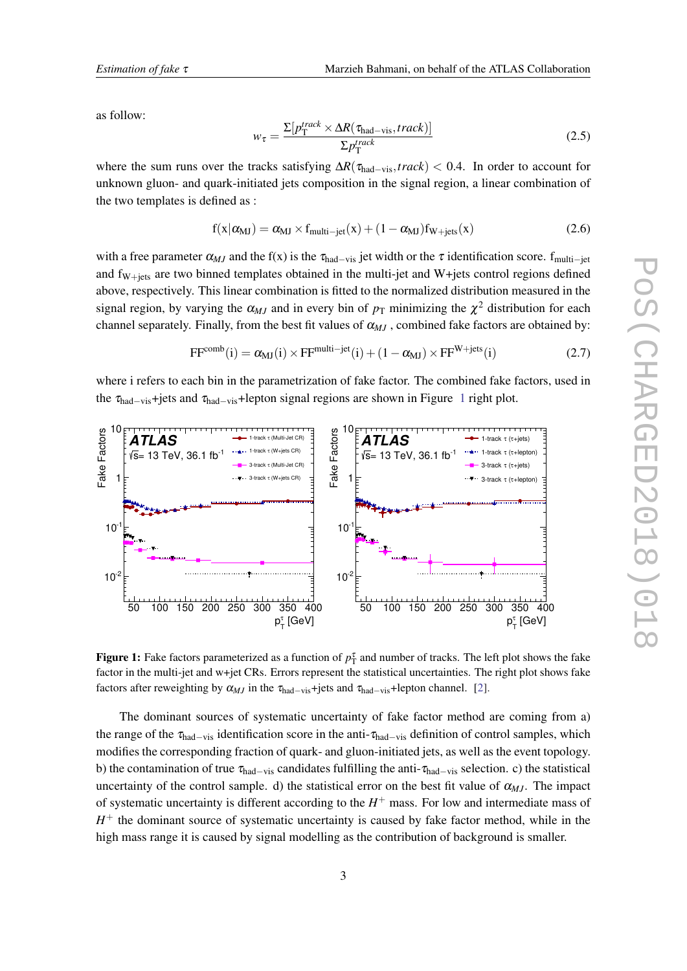<span id="page-3-0"></span>as follow:

$$
w_{\tau} = \frac{\Sigma[p_{\text{T}}^{track} \times \Delta R(\tau_{\text{had}-\text{vis}}, track)]}{\Sigma p_{\text{T}}^{track}} \tag{2.5}
$$

where the sum runs over the tracks satisfying ∆*R*(τhad−vis,*track*) < 0.4. In order to account for unknown gluon- and quark-initiated jets composition in the signal region, a linear combination of the two templates is defined as :

$$
f(x|\alpha_{MJ}) = \alpha_{MJ} \times f_{multi-jet}(x) + (1 - \alpha_{MJ})f_{W+jets}(x)
$$
\n(2.6)

with a free parameter  $\alpha_{MJ}$  and the f(x) is the  $\tau_{\text{had}-vis}$  jet width or the  $\tau$  identification score. f<sub>multi-jet</sub> and  $f_{W+jets}$  are two binned templates obtained in the multi-jet and W+jets control regions defined above, respectively. This linear combination is fitted to the normalized distribution measured in the signal region, by varying the  $\alpha_{MJ}$  and in every bin of  $p_T$  minimizing the  $\chi^2$  distribution for each channel separately. Finally, from the best fit values of  $\alpha_{M}$ , combined fake factors are obtained by:

$$
FF^{comb}(i) = \alpha_{MJ}(i) \times FF^{multi-jet}(i) + (1 - \alpha_{MJ}) \times FF^{W+jets}(i)
$$
\n(2.7)

where i refers to each bin in the parametrization of fake factor. The combined fake factors, used in the  $\tau_{\text{had}-\text{vis}}$ +jets and  $\tau_{\text{had}-\text{vis}}$ +lepton signal regions are shown in Figure 1 right plot.



Figure 1: Fake factors parameterized as a function of  $p_T^{\tau}$  and number of tracks. The left plot shows the fake factor in the multi-jet and w+jet CRs. Errors represent the statistical uncertainties. The right plot shows fake factors after reweighting by  $\alpha_{MJ}$  in the  $\tau_{\text{had}-\text{vis}}+$ jets and  $\tau_{\text{had}-\text{vis}}+$ lepton channel. [\[2\]](#page-5-0).

The dominant sources of systematic uncertainty of fake factor method are coming from a) the range of the  $\tau_{\text{had}-\text{vis}}$  identification score in the anti- $\tau_{\text{had}-\text{vis}}$  definition of control samples, which modifies the corresponding fraction of quark- and gluon-initiated jets, as well as the event topology. b) the contamination of true  $\tau_{\text{had}-\text{vis}}$  candidates fulfilling the anti- $\tau_{\text{had}-\text{vis}}$  selection. c) the statistical uncertainty of the control sample. d) the statistical error on the best fit value of  $\alpha_{MJ}$ . The impact of systematic uncertainty is different according to the  $H^+$  mass. For low and intermediate mass of  $H<sup>+</sup>$  the dominant source of systematic uncertainty is caused by fake factor method, while in the high mass range it is caused by signal modelling as the contribution of background is smaller.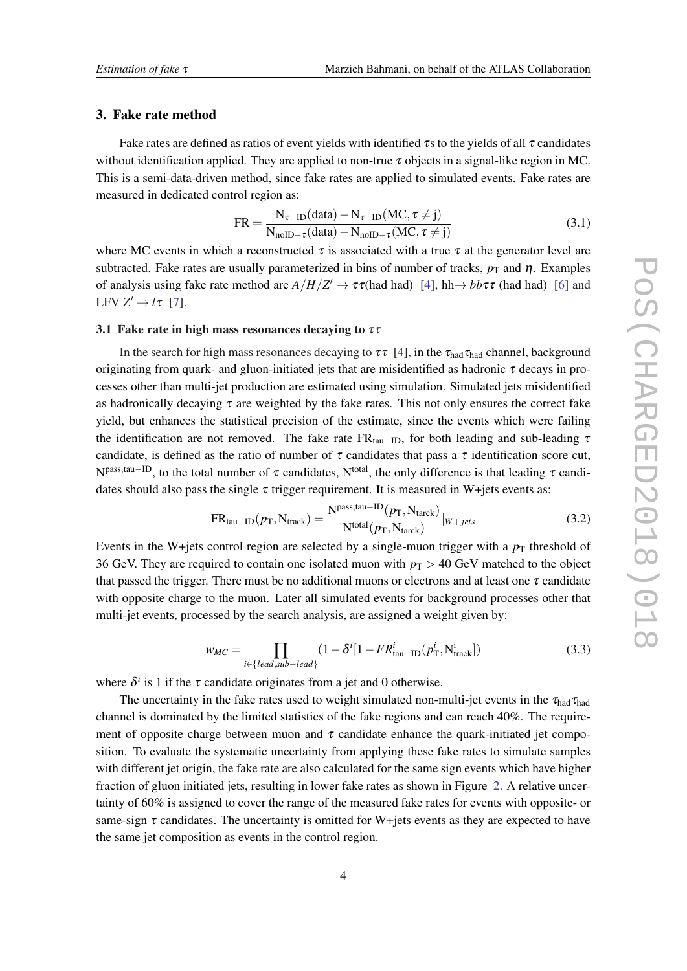## 3. Fake rate method

Fake rates are defined as ratios of event yields with identified  $\tau$ s to the yields of all  $\tau$  candidates without identification applied. They are applied to non-true  $\tau$  objects in a signal-like region in MC. This is a semi-data-driven method, since fake rates are applied to simulated events. Fake rates are measured in dedicated control region as:

$$
FR = \frac{N_{\tau-\text{ID}}(data) - N_{\tau-\text{ID}}(MC, \tau \neq j)}{N_{\text{noID}-\tau}(data) - N_{\text{noID}-\tau}(MC, \tau \neq j)}
$$
(3.1)

where MC events in which a reconstructed  $\tau$  is associated with a true  $\tau$  at the generator level are subtracted. Fake rates are usually parameterized in bins of number of tracks,  $p_T$  and  $\eta$ . Examples of analysis using fake rate method are  $A/H/Z' \to \tau\tau$  (had had) [[4](#page-5-0)], hh $\to bb\tau\tau$  (had had) [\[6\]](#page-5-0) and LFV  $Z' \rightarrow l\tau$  [\[7\]](#page-5-0).

# 3.1 Fake rate in high mass resonances decaying to  $\tau\tau$

In the search for high mass resonances decaying to  $\tau\tau$  [[4](#page-5-0)], in the  $\tau_{\text{had}}\tau_{\text{had}}$  channel, background originating from quark- and gluon-initiated jets that are misidentified as hadronic  $\tau$  decays in processes other than multi-jet production are estimated using simulation. Simulated jets misidentified as hadronically decaying  $\tau$  are weighted by the fake rates. This not only ensures the correct fake yield, but enhances the statistical precision of the estimate, since the events which were failing the identification are not removed. The fake rate FR<sub>tau–ID</sub>, for both leading and sub-leading  $\tau$ candidate, is defined as the ratio of number of  $\tau$  candidates that pass a  $\tau$  identification score cut,  $N<sup>pass, tau-ID</sup>$ , to the total number of  $\tau$  candidates,  $N<sup>total</sup>$ , the only difference is that leading  $\tau$  candidates should also pass the single  $\tau$  trigger requirement. It is measured in W+jets events as:

$$
FR_{tau-ID}(p_T, N_{track}) = \frac{N^{pass,tau-ID}(p_T, N_{track})}{N^{total}(p_T, N_{track})} |_{W+jets}
$$
(3.2)

Events in the W+jets control region are selected by a single-muon trigger with a  $p<sub>T</sub>$  threshold of 36 GeV. They are required to contain one isolated muon with  $p_T > 40$  GeV matched to the object that passed the trigger. There must be no additional muons or electrons and at least one  $\tau$  candidate with opposite charge to the muon. Later all simulated events for background processes other that multi-jet events, processed by the search analysis, are assigned a weight given by:

$$
w_{MC} = \prod_{i \in \{lead, sub-lead\}} (1 - \delta^i [1 - FR_{\text{tau-ID}}^i (p_T^i, N_{\text{track}}^i])
$$
(3.3)

where  $\delta^i$  is 1 if the  $\tau$  candidate originates from a jet and 0 otherwise.

The uncertainty in the fake rates used to weight simulated non-multi-jet events in the  $\tau_{had}\tau_{had}$ channel is dominated by the limited statistics of the fake regions and can reach 40%. The requirement of opposite charge between muon and  $\tau$  candidate enhance the quark-initiated jet composition. To evaluate the systematic uncertainty from applying these fake rates to simulate samples with different jet origin, the fake rate are also calculated for the same sign events which have higher fraction of gluon initiated jets, resulting in lower fake rates as shown in Figure [2](#page-5-0). A relative uncertainty of 60% is assigned to cover the range of the measured fake rates for events with opposite- or same-sign  $\tau$  candidates. The uncertainty is omitted for W+jets events as they are expected to have the same jet composition as events in the control region.